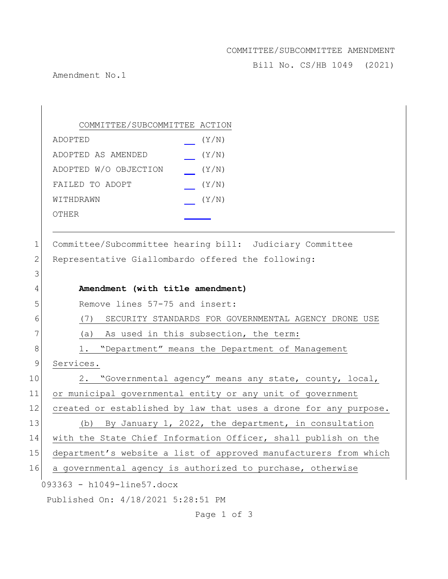## COMMITTEE/SUBCOMMITTEE AMENDMENT

Bill No. CS/HB 1049 (2021)

Amendment No.1

093363 - h1049-line57.docx Published On: 4/18/2021 5:28:51 PM COMMITTEE/SUBCOMMITTEE ACTION ADOPTED (Y/N) ADOPTED AS AMENDED (Y/N) ADOPTED W/O OBJECTION (Y/N) FAILED TO ADOPT  $(Y/N)$ WITHDRAWN  $(Y/N)$ OTHER 1 Committee/Subcommittee hearing bill: Judiciary Committee 2 Representative Giallombardo offered the following: 3 4 **Amendment (with title amendment)** 5 Remove lines 57-75 and insert: 6 (7) SECURITY STANDARDS FOR GOVERNMENTAL AGENCY DRONE USE 7 (a) As used in this subsection, the term: 8 1. "Department" means the Department of Management 9 Services. 10 2. "Governmental agency" means any state, county, local, 11 or municipal governmental entity or any unit of government 12 created or established by law that uses a drone for any purpose. 13 (b) By January 1, 2022, the department, in consultation 14 with the State Chief Information Officer, shall publish on the 15 department's website a list of approved manufacturers from which 16 a governmental agency is authorized to purchase, otherwise

Page 1 of 3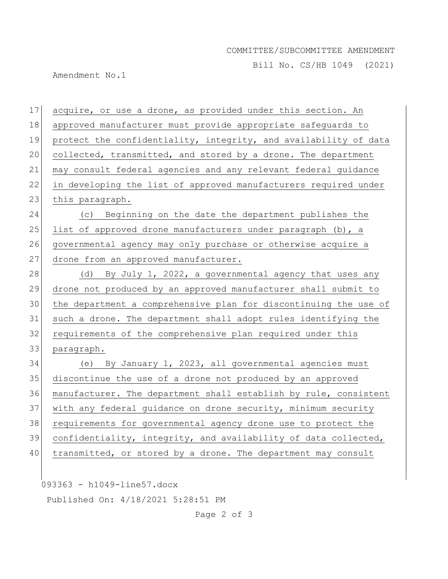## COMMITTEE/SUBCOMMITTEE AMENDMENT

Bill No. CS/HB 1049 (2021)

Amendment No.1

 acquire, or use a drone, as provided under this section. An approved manufacturer must provide appropriate safeguards to 19 protect the confidentiality, integrity, and availability of data collected, transmitted, and stored by a drone. The department may consult federal agencies and any relevant federal guidance in developing the list of approved manufacturers required under 23 this paragraph. (c) Beginning on the date the department publishes the 25 list of approved drone manufacturers under paragraph  $(b)$ , a 26 governmental agency may only purchase or otherwise acquire a 27 drone from an approved manufacturer. 28 (d) By July 1, 2022, a governmental agency that uses any drone not produced by an approved manufacturer shall submit to the department a comprehensive plan for discontinuing the use of such a drone. The department shall adopt rules identifying the requirements of the comprehensive plan required under this paragraph. (e) By January 1, 2023, all governmental agencies must discontinue the use of a drone not produced by an approved manufacturer. The department shall establish by rule, consistent with any federal guidance on drone security, minimum security requirements for governmental agency drone use to protect the confidentiality, integrity, and availability of data collected, 40 | transmitted, or stored by a drone. The department may consult

093363 - h1049-line57.docx

Published On: 4/18/2021 5:28:51 PM

Page 2 of 3